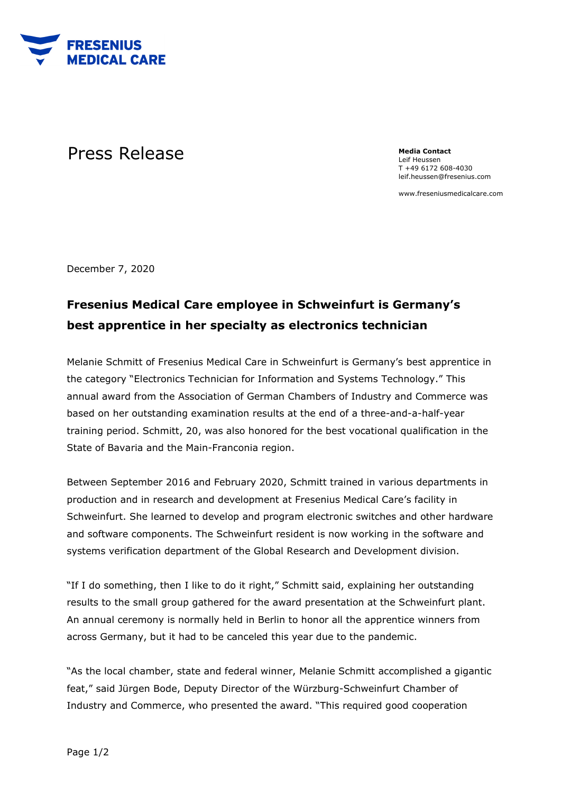

## Press Release **Media** Contact **Press** Release

Leif Heussen T +49 6172 608-4030 leif.heussen@fresenius.com

www.freseniusmedicalcare.com

December 7, 2020

## **Fresenius Medical Care employee in Schweinfurt is Germany's best apprentice in her specialty as electronics technician**

Melanie Schmitt of Fresenius Medical Care in Schweinfurt is Germany's best apprentice in the category "Electronics Technician for Information and Systems Technology." This annual award from the Association of German Chambers of Industry and Commerce was based on her outstanding examination results at the end of a three-and-a-half-year training period. Schmitt, 20, was also honored for the best vocational qualification in the State of Bavaria and the Main-Franconia region.

Between September 2016 and February 2020, Schmitt trained in various departments in production and in research and development at Fresenius Medical Care's facility in Schweinfurt. She learned to develop and program electronic switches and other hardware and software components. The Schweinfurt resident is now working in the software and systems verification department of the Global Research and Development division.

"If I do something, then I like to do it right," Schmitt said, explaining her outstanding results to the small group gathered for the award presentation at the Schweinfurt plant. An annual ceremony is normally held in Berlin to honor all the apprentice winners from across Germany, but it had to be canceled this year due to the pandemic.

"As the local chamber, state and federal winner, Melanie Schmitt accomplished a gigantic feat," said Jürgen Bode, Deputy Director of the Würzburg-Schweinfurt Chamber of Industry and Commerce, who presented the award. "This required good cooperation